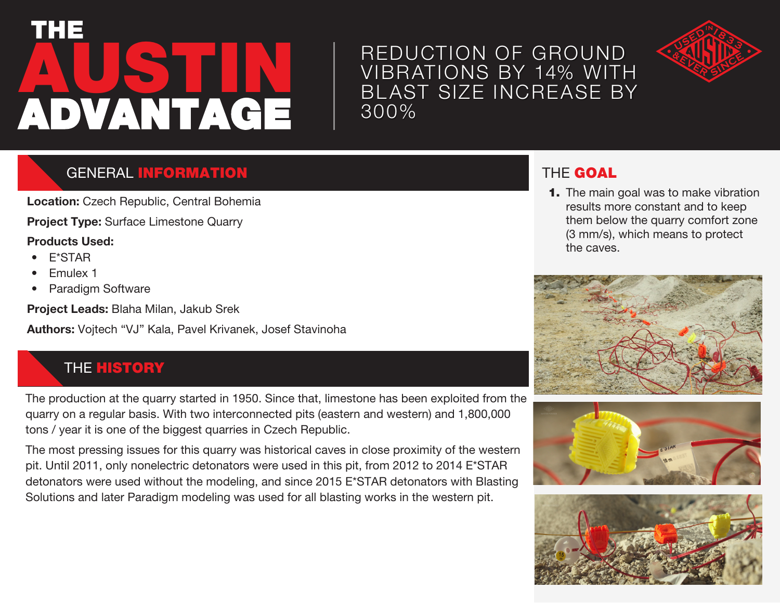# **AUSTIN** THE ADVANTAGE

## REDUCTION OF GROUND VIBRATIONS BY 14% WITH BL AST SIZE INCREASE BY 300%



### GENERAL INFORMATION

**Location:** Czech Republic, Central Bohemia

**Project Type:** Surface Limestone Quarry

#### **Products Used:**

- E\*STAR
- Emulex 1
- Paradigm Software

**Project Leads:** Blaha Milan, Jakub Srek

**Authors:** Vojtech "VJ" Kala, Pavel Krivanek, Josef Stavinoha

#### **THE HISTORY**

The production at the quarry started in 1950. Since that, limestone has been exploited from the quarry on a regular basis. With two interconnected pits (eastern and western) and 1,800,000 tons / year it is one of the biggest quarries in Czech Republic.

The most pressing issues for this quarry was historical caves in close proximity of the western pit. Until 2011, only nonelectric detonators were used in this pit, from 2012 to 2014 E\*STAR detonators were used without the modeling, and since 2015 E\*STAR detonators with Blasting Solutions and later Paradigm modeling was used for all blasting works in the western pit.

### THE GOAL

**1.** The main goal was to make vibration results more constant and to keep them below the quarry comfort zone (3 mm/s), which means to protect the caves.